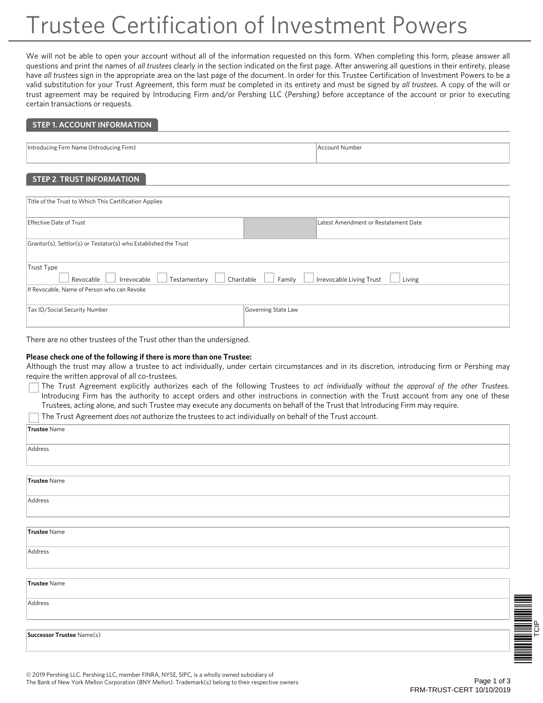# Trustee Certification of Investment Powers

We will not be able to open your account without all of the information requested on this form. When completing this form, please answer all questions and print the names of *all trustees* clearly in the section indicated on the first page. After answering all questions in their entirety, please have *all trustees* sign in the appropriate area on the last page of the document. In order for this Trustee Certification of Investment Powers to be a valid substitution for your Trust Agreement, this form *must* be completed in its entirety and must be signed by *all trustees*. A copy of the will or trust agreement may be required by Introducing Firm and/or Pershing LLC (Pershing) before acceptance of the account or prior to executing certain transactions or requests.

### **STEP 1. ACCOUNT INFORMATION**

| Introducing Firm Name (Introducing Firm) | Account Number |
|------------------------------------------|----------------|
|                                          |                |
|                                          |                |

## **STEP 2**. **TRUST INFORMATION**

| Title of the Trust to Which This Certification Applies                                                               |                                      |  |  |  |
|----------------------------------------------------------------------------------------------------------------------|--------------------------------------|--|--|--|
| Effective Date of Trust                                                                                              | Latest Amendment or Restatement Date |  |  |  |
| Grantor(s), Settlor(s) or Testator(s) who Established the Trust                                                      |                                      |  |  |  |
| Trust Type<br>Irrevocable Living Trust<br>Family<br>Irrevocable<br>Testamentary<br>Charitable<br>Living<br>Revocable |                                      |  |  |  |
| If Revocable, Name of Person who can Revoke                                                                          |                                      |  |  |  |
| Tax ID/Social Security Number                                                                                        | Governing State Law                  |  |  |  |

#### There are no other trustees of the Trust other than the undersigned.

#### **Please check one of the following if there is more than one Trustee:**

Although the trust may allow a trustee to act individually, under certain circumstances and in its discretion, introducing firm or Pershing may require the written approval of all co-trustees.

- The Trust Agreement explicitly authorizes each of the following Trustees to *act individually without the approval of the other Trustees.*  Introducing Firm has the authority to accept orders and other instructions in connection with the Trust account from any one of these Trustees, acting alone, and such Trustee may execute any documents on behalf of the Trust that Introducing Firm may require.
- The Trust Agreement *does not* authorize the trustees to act individually on behalf of the Trust account.

| $\sim$ , and the contract of the contract of the matrix of the contraction $\mu$ and the contract of the contract of |  |  |
|----------------------------------------------------------------------------------------------------------------------|--|--|
| Trustee Name                                                                                                         |  |  |
| Address                                                                                                              |  |  |
|                                                                                                                      |  |  |
| Trustee Name                                                                                                         |  |  |
| Address                                                                                                              |  |  |
|                                                                                                                      |  |  |
| Trustee Name                                                                                                         |  |  |
| Address                                                                                                              |  |  |
| Trustee Name                                                                                                         |  |  |
| Address                                                                                                              |  |  |
|                                                                                                                      |  |  |
| Successor Trustee Name(s)                                                                                            |  |  |

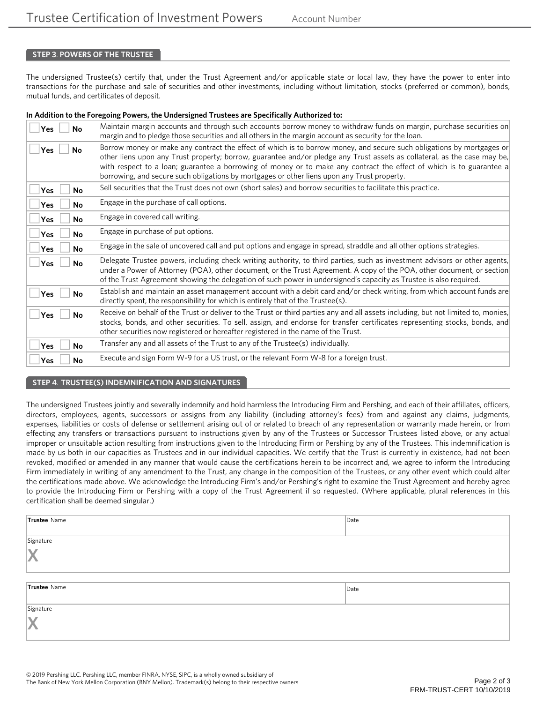## **STEP 3**. **POWERS OF THE TRUSTEE**

The undersigned Trustee(s) certify that, under the Trust Agreement and/or applicable state or local law, they have the power to enter into transactions for the purchase and sale of securities and other investments, including without limitation, stocks (preferred or common), bonds, mutual funds, and certificates of deposit.

#### **In Addition to the Foregoing Powers, the Undersigned Trustees are Specifically Authorized to:**

| Yes<br>No               | Maintain margin accounts and through such accounts borrow money to withdraw funds on margin, purchase securities on<br>margin and to pledge those securities and all others in the margin account as security for the loan.                                                                                                                                                                                                                                              |
|-------------------------|--------------------------------------------------------------------------------------------------------------------------------------------------------------------------------------------------------------------------------------------------------------------------------------------------------------------------------------------------------------------------------------------------------------------------------------------------------------------------|
| <b>Yes</b><br>No        | Borrow money or make any contract the effect of which is to borrow money, and secure such obligations by mortgages or<br>other liens upon any Trust property; borrow, guarantee and/or pledge any Trust assets as collateral, as the case may be,<br>with respect to a loan; guarantee a borrowing of money or to make any contract the effect of which is to guarantee a<br>borrowing, and secure such obligations by mortgages or other liens upon any Trust property. |
| <b>No</b><br><b>Yes</b> | Sell securities that the Trust does not own (short sales) and borrow securities to facilitate this practice.                                                                                                                                                                                                                                                                                                                                                             |
| <b>Yes</b><br><b>No</b> | Engage in the purchase of call options.                                                                                                                                                                                                                                                                                                                                                                                                                                  |
| Yes<br><b>No</b>        | Engage in covered call writing.                                                                                                                                                                                                                                                                                                                                                                                                                                          |
| <b>Yes</b><br>No        | Engage in purchase of put options.                                                                                                                                                                                                                                                                                                                                                                                                                                       |
| <b>Yes</b><br><b>No</b> | Engage in the sale of uncovered call and put options and engage in spread, straddle and all other options strategies.                                                                                                                                                                                                                                                                                                                                                    |
| <b>Yes</b><br>No        | Delegate Trustee powers, including check writing authority, to third parties, such as investment advisors or other agents,<br>under a Power of Attorney (POA), other document, or the Trust Agreement. A copy of the POA, other document, or section<br>of the Trust Agreement showing the delegation of such power in undersigned's capacity as Trustee is also required.                                                                                               |
| Yes<br>No               | Establish and maintain an asset management account with a debit card and/or check writing, from which account funds are<br>directly spent, the responsibility for which is entirely that of the Trustee(s).                                                                                                                                                                                                                                                              |
| <b>Yes</b><br>No        | Receive on behalf of the Trust or deliver to the Trust or third parties any and all assets including, but not limited to, monies,<br>stocks, bonds, and other securities. To sell, assign, and endorse for transfer certificates representing stocks, bonds, and<br>other securities now registered or hereafter registered in the name of the Trust.                                                                                                                    |
| <b>Yes</b><br><b>No</b> | Transfer any and all assets of the Trust to any of the Trustee(s) individually.                                                                                                                                                                                                                                                                                                                                                                                          |
| Yes<br>No               | Execute and sign Form W-9 for a US trust, or the relevant Form W-8 for a foreign trust.                                                                                                                                                                                                                                                                                                                                                                                  |

#### **STEP 4**. **TRUSTEE(S) INDEMNIFICATION AND SIGNATURES**

The undersigned Trustees jointly and severally indemnify and hold harmless the Introducing Firm and Pershing, and each of their affiliates, officers, directors, employees, agents, successors or assigns from any liability (including attorney's fees) from and against any claims, judgments, expenses, liabilities or costs of defense or settlement arising out of or related to breach of any representation or warranty made herein, or from effecting any transfers or transactions pursuant to instructions given by any of the Trustees or Successor Trustees listed above, or any actual improper or unsuitable action resulting from instructions given to the Introducing Firm or Pershing by any of the Trustees. This indemnification is made by us both in our capacities as Trustees and in our individual capacities. We certify that the Trust is currently in existence, had not been revoked, modified or amended in any manner that would cause the certifications herein to be incorrect and, we agree to inform the Introducing Firm immediately in writing of any amendment to the Trust, any change in the composition of the Trustees, or any other event which could alter the certifications made above. We acknowledge the Introducing Firm's and/or Pershing's right to examine the Trust Agreement and hereby agree to provide the Introducing Firm or Pershing with a copy of the Trust Agreement if so requested. (Where applicable, plural references in this certification shall be deemed singular.)

| Trustee Name | Date |
|--------------|------|
|              |      |
| Signature    |      |
| X            |      |
|              |      |
| Trustee Name | Date |
| Signature    |      |
| X            |      |